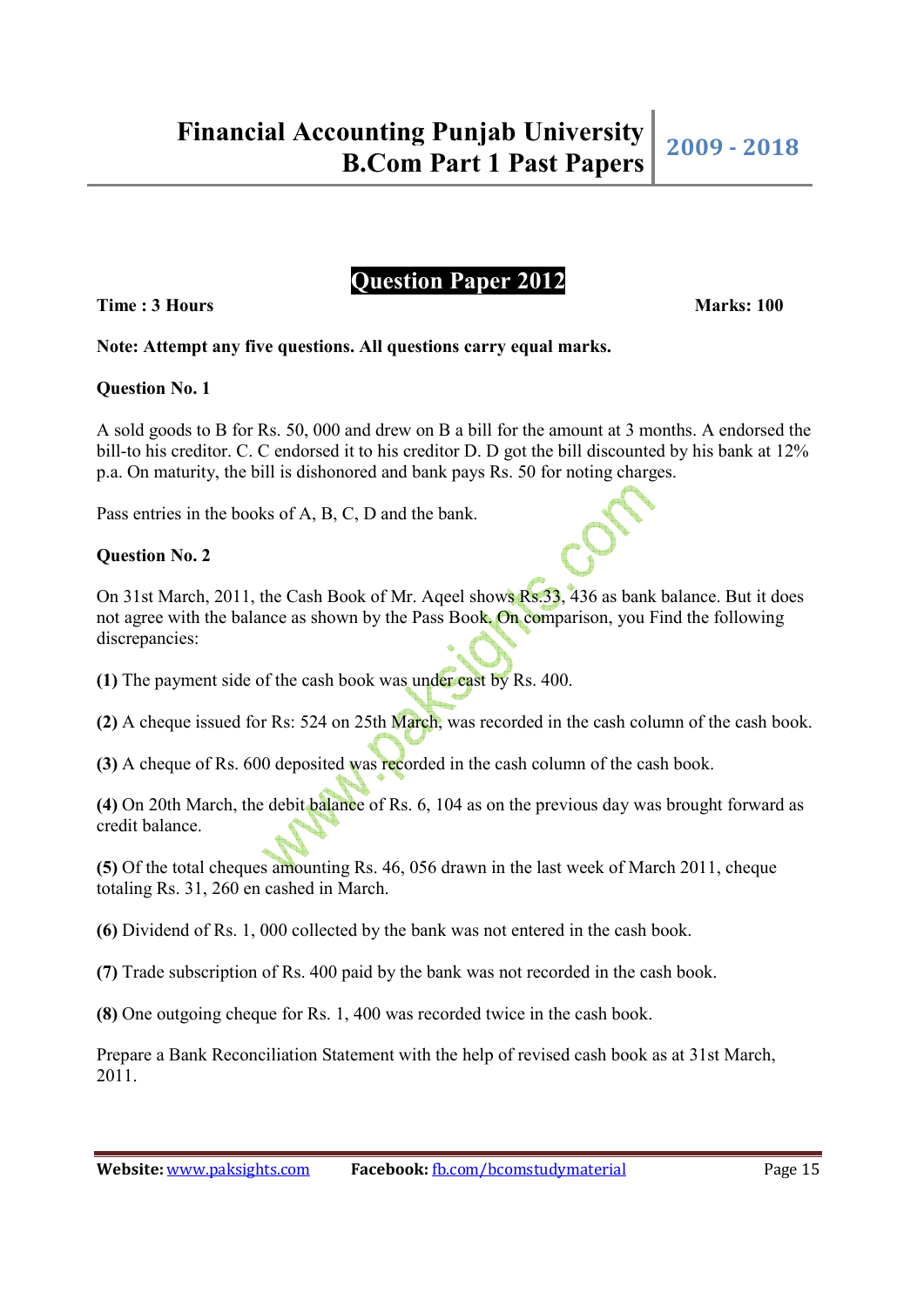# **Time : 3 Hours Marks: 100 Marks: 100**

# **Note: Attempt any five questions. All questions carry equal marks.**

## **Question No. 1**

A sold goods to B for Rs. 50, 000 and drew on B a bill for the amount at 3 months. A endorsed the bill-to his creditor. C. C endorsed it to his creditor D. D got the bill discounted by his bank at 12% p.a. On maturity, the bill is dishonored and bank pays Rs. 50 for noting charges.

**Question Paper 2012** 

Pass entries in the books of A, B, C, D and the bank.

## **Question No. 2**

On 31st March, 2011, the Cash Book of Mr. Aqeel shows Rs.33, 436 as bank balance. But it does not agree with the balance as shown by the Pass Book. On comparison, you Find the following discrepancies:

**(1)** The payment side of the cash book was under cast by Rs. 400.

**(2)** A cheque issued for Rs: 524 on 25th March, was recorded in the cash column of the cash book.

**(3)** A cheque of Rs. 600 deposited was recorded in the cash column of the cash book.

**(4)** On 20th March, the debit balance of Rs. 6, 104 as on the previous day was brought forward as credit balance.

**(5)** Of the total cheques amounting Rs. 46, 056 drawn in the last week of March 2011, cheque totaling Rs. 31, 260 en cashed in March.

**(6)** Dividend of Rs. 1, 000 collected by the bank was not entered in the cash book.

**(7)** Trade subscription of Rs. 400 paid by the bank was not recorded in the cash book.

**(8)** One outgoing cheque for Rs. 1, 400 was recorded twice in the cash book.

Prepare a Bank Reconciliation Statement with the help of revised cash book as at 31st March, 2011.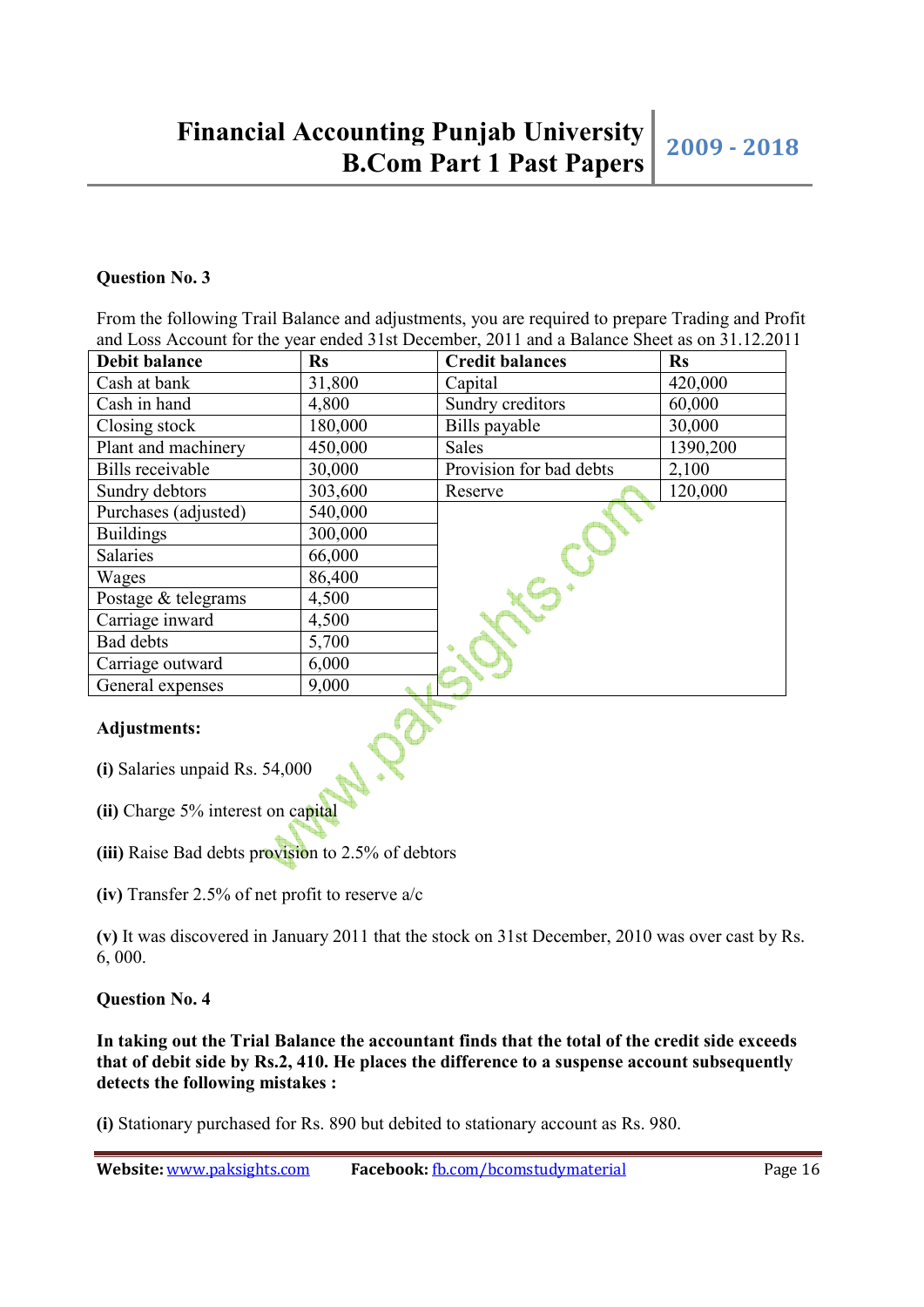## **Question No. 3**

From the following Trail Balance and adjustments, you are required to prepare Trading and Profit and Loss Account for the year ended 31st December, 2011 and a Balance Sheet as on 31.12.2011

| <b>Debit balance</b>           | <b>Rs</b> | <b>Credit balances</b>  | $\mathbf{R}s$ |  |  |  |
|--------------------------------|-----------|-------------------------|---------------|--|--|--|
| Cash at bank                   | 31,800    | Capital                 | 420,000       |  |  |  |
| Cash in hand                   | 4,800     | Sundry creditors        | 60,000        |  |  |  |
| Closing stock                  | 180,000   | Bills payable           | 30,000        |  |  |  |
| Plant and machinery            | 450,000   | <b>Sales</b>            | 1390,200      |  |  |  |
| <b>Bills</b> receivable        | 30,000    | Provision for bad debts | 2,100         |  |  |  |
| Sundry debtors                 | 303,600   | Reserve                 | 120,000       |  |  |  |
| Purchases (adjusted)           | 540,000   |                         |               |  |  |  |
| <b>Buildings</b>               | 300,000   |                         |               |  |  |  |
| Salaries                       | 66,000    |                         |               |  |  |  |
| Wages                          | 86,400    |                         |               |  |  |  |
| Postage & telegrams            | 4,500     |                         |               |  |  |  |
| Carriage inward                | 4,500     |                         |               |  |  |  |
| Bad debts                      | 5,700     |                         |               |  |  |  |
| Carriage outward               | 6,000     |                         |               |  |  |  |
| General expenses               | 9,000     |                         |               |  |  |  |
| <b>Adjustments:</b>            |           |                         |               |  |  |  |
| (i) Salaries unpaid Rs. 54,000 |           |                         |               |  |  |  |

### **Adjustments:**

- **(i)** Salaries unpaid Rs. 54,000
- **(ii)** Charge 5% interest on capital
- **(iii)** Raise Bad debts provision to 2.5% of debtors
- **(iv)** Transfer 2.5% of net profit to reserve a/c

**(v)** It was discovered in January 2011 that the stock on 31st December, 2010 was over cast by Rs. 6, 000.

### **Question No. 4**

**In taking out the Trial Balance the accountant finds that the total of the credit side exceeds that of debit side by Rs.2, 410. He places the difference to a suspense account subsequently detects the following mistakes :**

**(i)** Stationary purchased for Rs. 890 but debited to stationary account as Rs. 980.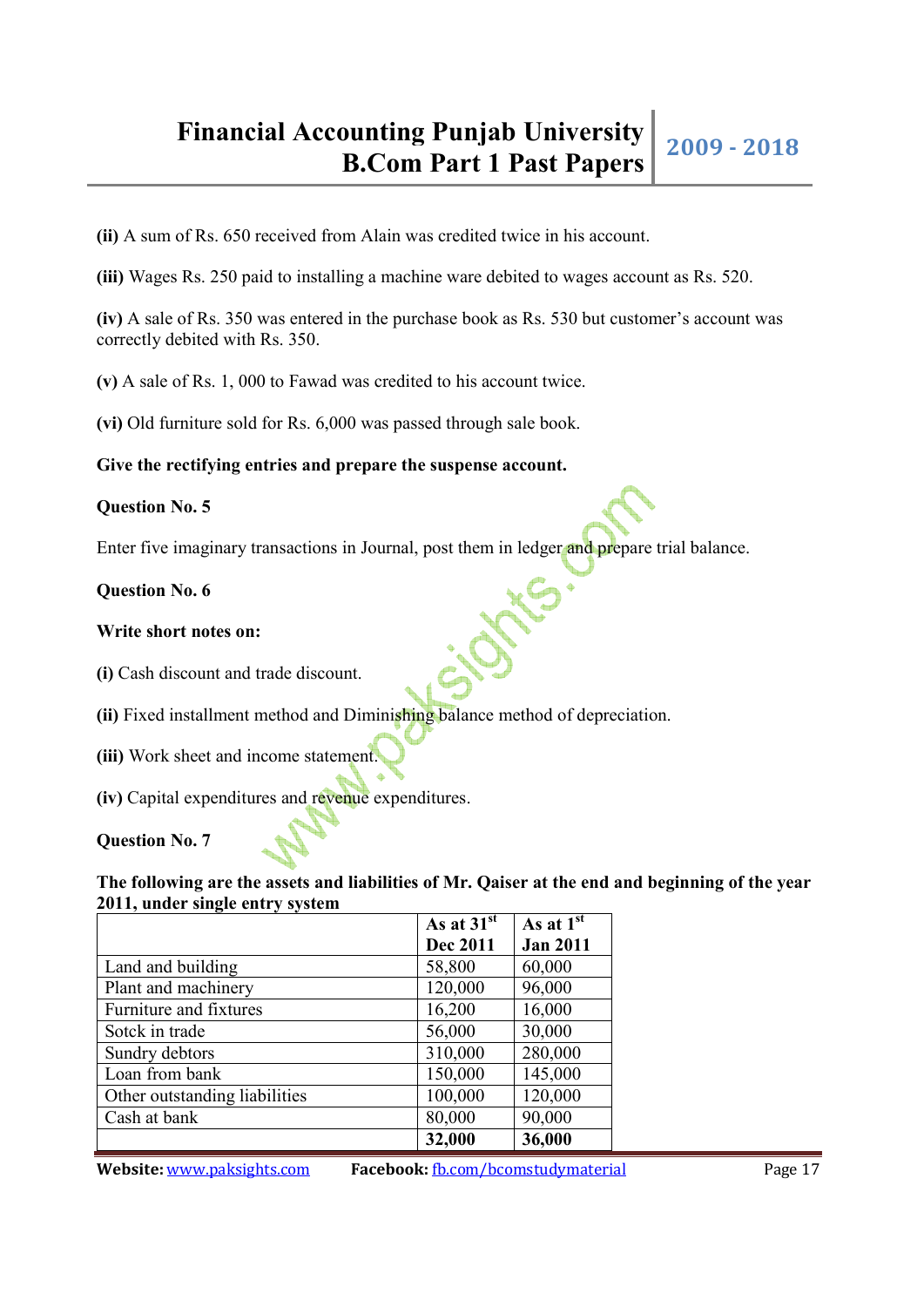**(ii)** A sum of Rs. 650 received from Alain was credited twice in his account.

**(iii)** Wages Rs. 250 paid to installing a machine ware debited to wages account as Rs. 520.

**(iv)** A sale of Rs. 350 was entered in the purchase book as Rs. 530 but customer's account was correctly debited with Rs. 350.

**(v)** A sale of Rs. 1, 000 to Fawad was credited to his account twice.

**(vi)** Old furniture sold for Rs. 6,000 was passed through sale book.

**Give the rectifying entries and prepare the suspense account.**

#### **Question No. 5**

Enter five imaginary transactions in Journal, post them in ledger and prepare trial balance.

#### **Question No. 6**

#### **Write short notes on:**

**(i)** Cash discount and trade discount.

**(ii)** Fixed installment method and Diminishing balance method of depreciation.

- **(iii)** Work sheet and income statement.
- **(iv)** Capital expenditures and revenue expenditures.

#### **Question No. 7**

### **The following are the assets and liabilities of Mr. Qaiser at the end and beginning of the year 2011, under single entry system**

|                               | As at $31^{st}$ | As at $1st$     |
|-------------------------------|-----------------|-----------------|
|                               | <b>Dec 2011</b> | <b>Jan 2011</b> |
| Land and building             | 58,800          | 60,000          |
| Plant and machinery           | 120,000         | 96,000          |
| Furniture and fixtures        | 16,200          | 16,000          |
| Sotck in trade                | 56,000          | 30,000          |
| Sundry debtors                | 310,000         | 280,000         |
| Loan from bank                | 150,000         | 145,000         |
| Other outstanding liabilities | 100,000         | 120,000         |
| Cash at bank                  | 80,000          | 90,000          |
|                               | 32,000          | 36,000          |

**Website:** www.paksights.com **Facebook:** fb.com/bcomstudymaterial Page 17